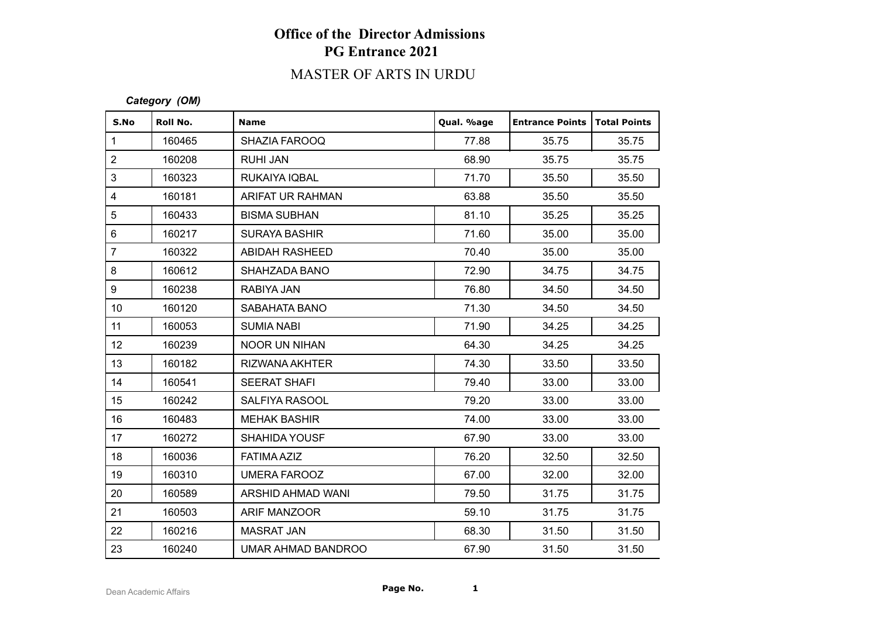### MASTER OF ARTS IN URDU

#### *Category (OM)*

| S.No             | Roll No. | <b>Name</b>          | Qual. %age | <b>Entrance Points</b> | Total Points |
|------------------|----------|----------------------|------------|------------------------|--------------|
| $\mathbf{1}$     | 160465   | SHAZIA FAROOQ        | 77.88      | 35.75                  | 35.75        |
| $\overline{2}$   | 160208   | <b>RUHI JAN</b>      | 68.90      | 35.75                  | 35.75        |
| 3                | 160323   | RUKAIYA IQBAL        | 71.70      | 35.50                  | 35.50        |
| $\overline{4}$   | 160181   | ARIFAT UR RAHMAN     | 63.88      | 35.50                  | 35.50        |
| 5                | 160433   | <b>BISMA SUBHAN</b>  | 81.10      | 35.25                  | 35.25        |
| $6\phantom{1}$   | 160217   | <b>SURAYA BASHIR</b> | 71.60      | 35.00                  | 35.00        |
| $\overline{7}$   | 160322   | ABIDAH RASHEED       | 70.40      | 35.00                  | 35.00        |
| 8                | 160612   | SHAHZADA BANO        | 72.90      | 34.75                  | 34.75        |
| 9                | 160238   | RABIYA JAN           | 76.80      | 34.50                  | 34.50        |
| 10 <sup>1</sup>  | 160120   | <b>SABAHATA BANO</b> | 71.30      | 34.50                  | 34.50        |
| 11               | 160053   | <b>SUMIA NABI</b>    | 71.90      | 34.25                  | 34.25        |
| 12 <sub>2</sub>  | 160239   | <b>NOOR UN NIHAN</b> | 64.30      | 34.25                  | 34.25        |
| 13               | 160182   | RIZWANA AKHTER       | 74.30      | 33.50                  | 33.50        |
| 14               | 160541   | <b>SEERAT SHAFI</b>  | 79.40      | 33.00                  | 33.00        |
| 15 <sub>15</sub> | 160242   | SALFIYA RASOOL       | 79.20      | 33.00                  | 33.00        |
| 16               | 160483   | <b>MEHAK BASHIR</b>  | 74.00      | 33.00                  | 33.00        |
| 17               | 160272   | <b>SHAHIDA YOUSF</b> | 67.90      | 33.00                  | 33.00        |
| 18               | 160036   | <b>FATIMA AZIZ</b>   | 76.20      | 32.50                  | 32.50        |
| 19               | 160310   | <b>UMERA FAROOZ</b>  | 67.00      | 32.00                  | 32.00        |
| 20               | 160589   | ARSHID AHMAD WANI    | 79.50      | 31.75                  | 31.75        |
| 21               | 160503   | ARIF MANZOOR         | 59.10      | 31.75                  | 31.75        |
| 22               | 160216   | <b>MASRAT JAN</b>    | 68.30      | 31.50                  | 31.50        |
| 23               | 160240   | UMAR AHMAD BANDROO   | 67.90      | 31.50                  | 31.50        |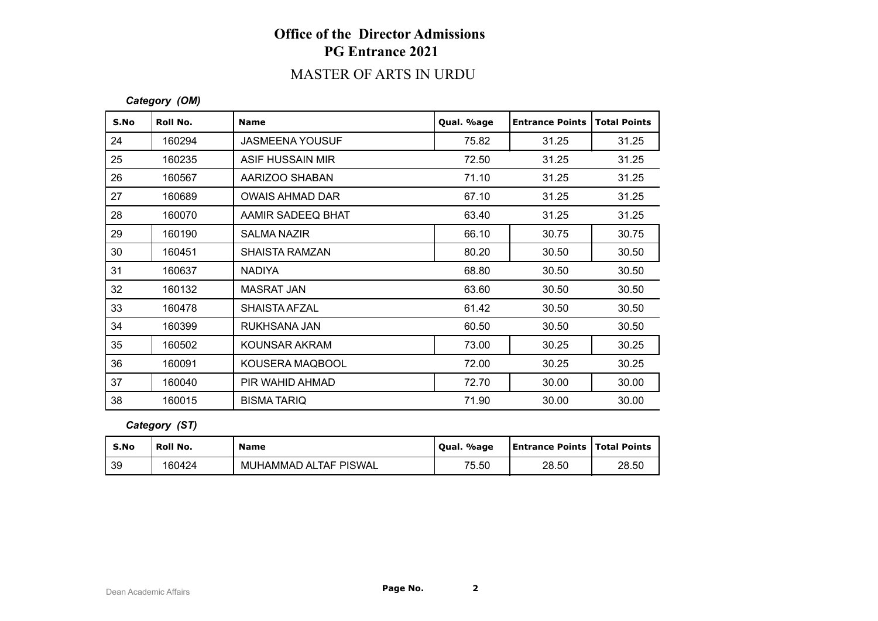### MASTER OF ARTS IN URDU

#### *Category (OM)*

| S.No | Roll No. | <b>Name</b>            | Qual. %age | <b>Entrance Points</b> | <b>Total Points</b> |
|------|----------|------------------------|------------|------------------------|---------------------|
| 24   | 160294   | <b>JASMEENA YOUSUF</b> | 75.82      | 31.25                  | 31.25               |
| 25   | 160235   | ASIF HUSSAIN MIR       | 72.50      | 31.25                  | 31.25               |
| 26   | 160567   | AARIZOO SHABAN         | 71.10      | 31.25                  | 31.25               |
| 27   | 160689   | <b>OWAIS AHMAD DAR</b> | 67.10      | 31.25                  | 31.25               |
| 28   | 160070   | AAMIR SADEEQ BHAT      | 63.40      | 31.25                  | 31.25               |
| 29   | 160190   | SALMA NAZIR            | 66.10      | 30.75                  | 30.75               |
| 30   | 160451   | <b>SHAISTA RAMZAN</b>  | 80.20      | 30.50                  | 30.50               |
| 31   | 160637   | <b>NADIYA</b>          | 68.80      | 30.50                  | 30.50               |
| 32   | 160132   | MASRAT JAN             | 63.60      | 30.50                  | 30.50               |
| 33   | 160478   | <b>SHAISTA AFZAL</b>   | 61.42      | 30.50                  | 30.50               |
| 34   | 160399   | RUKHSANA JAN           | 60.50      | 30.50                  | 30.50               |
| 35   | 160502   | KOUNSAR AKRAM          | 73.00      | 30.25                  | 30.25               |
| 36   | 160091   | KOUSERA MAQBOOL        | 72.00      | 30.25                  | 30.25               |
| 37   | 160040   | PIR WAHID AHMAD        | 72.70      | 30.00                  | 30.00               |
| 38   | 160015   | <b>BISMA TARIQ</b>     | 71.90      | 30.00                  | 30.00               |

#### *Category (ST)*

| S.No | Roll No. | <b>Name</b>           | Oual. %age | <b>Entrance Points   Total Points</b> |       |
|------|----------|-----------------------|------------|---------------------------------------|-------|
| 39   | 160424   | MUHAMMAD ALTAF PISWAL | 75.50      | 28.50                                 | 28.50 |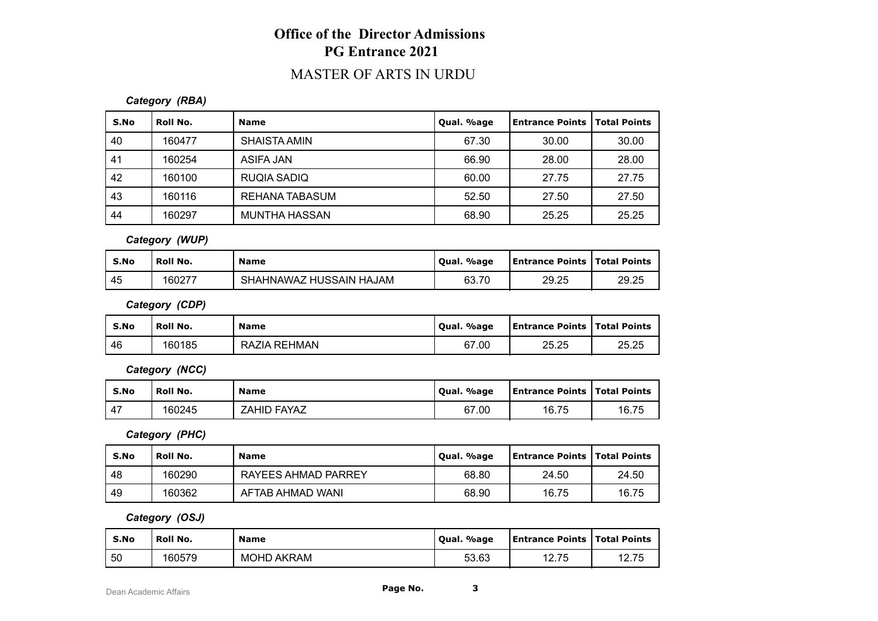### MASTER OF ARTS IN URDU

#### *Category (RBA)*

| S.No | Roll No. | <b>Name</b>          | Qual. %age | <b>Entrance Points  </b> | Total Points |
|------|----------|----------------------|------------|--------------------------|--------------|
| 40   | 160477   | <b>SHAISTA AMIN</b>  | 67.30      | 30.00                    | 30.00        |
| 41   | 160254   | ASIFA JAN            | 66.90      | 28.00                    | 28.00        |
| 42   | 160100   | RUQIA SADIQ          | 60.00      | 27.75                    | 27.75        |
| 43   | 160116   | REHANA TABASUM       | 52.50      | 27.50                    | 27.50        |
| 44   | 160297   | <b>MUNTHA HASSAN</b> | 68.90      | 25.25                    | 25.25        |

#### *Category (WUP)*

| S.No | Roll No. | <b>Name</b>                         | Qual. %age | Entrance Points   Total Points |       |
|------|----------|-------------------------------------|------------|--------------------------------|-------|
| 45   | 160277   | Z HUSSAIN HAJAM<br><b>SHAHNAWAZ</b> | 63.70      | 29.25                          | 29.25 |

*Category (CDP)*

| S.No | Roll No. | <b>Name</b>         | Qual. %age | <b>Entrance Points   Total Points</b> |       |
|------|----------|---------------------|------------|---------------------------------------|-------|
| -46  | 160185   | <b>RAZIA REHMAN</b> | 67.00      | 25.25                                 | 25.25 |

*Category (NCC)*

| S.No                 | <b>Roll No.</b> | <b>Name</b>        | Oual. %age | <b>Entrance Points   Total Points</b> |       |
|----------------------|-----------------|--------------------|------------|---------------------------------------|-------|
| $\overline{ }$<br>4, | 160245          | <b>ZAHID FAYAZ</b> | 67.00      | 16.75                                 | 16.75 |

*Category (PHC)*

| S.No | Roll No. | <b>Name</b>         | Qual. %age | <b>Entrance Points   Total Points  </b> |       |
|------|----------|---------------------|------------|-----------------------------------------|-------|
| -48  | 160290   | RAYEES AHMAD PARREY | 68.80      | 24.50                                   | 24.50 |
| 49   | 160362   | AFTAB AHMAD WANI    | 68.90      | 16.75                                   | 16.75 |

*Category (OSJ)*

| S.No | Roll No. | <b>Name</b> | Oual. %age | <b>Entrance Points   Total Points</b> |       |
|------|----------|-------------|------------|---------------------------------------|-------|
| 50   | 160579   | MOHD AKRAM  | 53.63      | 12.75                                 | 12.75 |